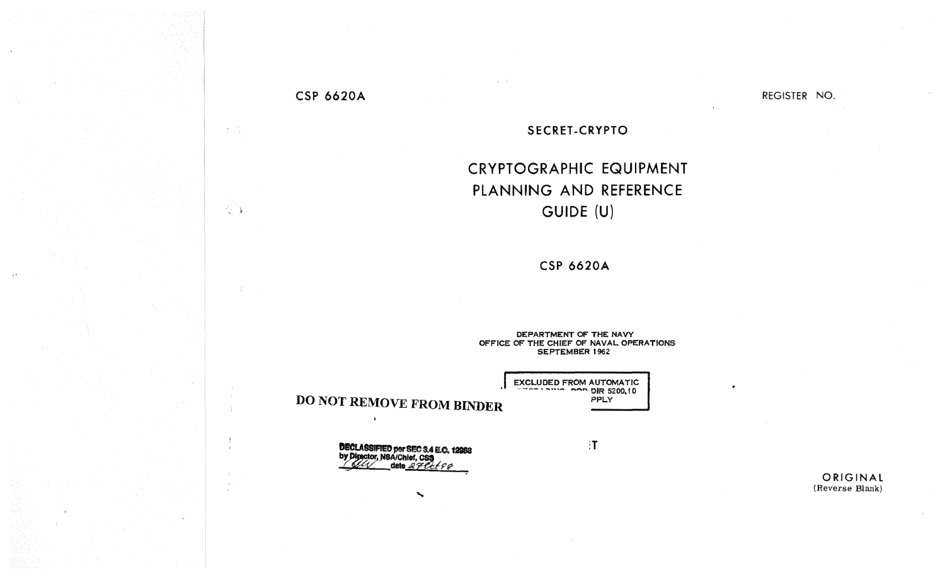## **CSP 6620A**

 $\langle T \rangle$  (  $\langle \gamma \rangle$ 

 $\langle \rangle$ 

 $\frac{1}{2}$ 

 $\mathbf{r}$ 

REGISTER NO.

## SECRET-CRYPTO

## CRYPTOGRAPHIC EQUIPMENT PLANNING AND REFERENCE GUIDE (U)

**CSP 6620A** 

DEPARTMENT OF THE NAVY OFFICE OF THE CHIEF OF NAVAL OPERATIONS SEPTEMBER 1962

> EXCLUDED FROM AUTOMATIC PPLY

> > $\mathbf{T}$

**DO NOT REMOVE FROM BINDER** 

 $\lambda$ 

**DECLASSIFIED per SEC 3.4 E.O. 12958**<br>by Director, NSA/Chief, CSS<br>date 2 PCC P

 $\mathcal{L}$ 

ORIGINAL (Reverse Blank)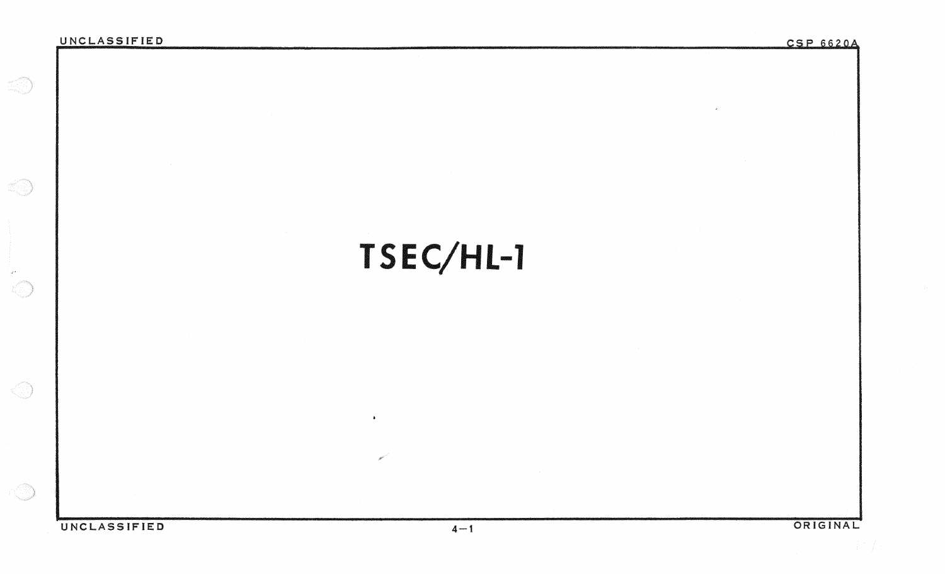**SO** 

 $\mathcal{L}^{\mathcal{A}}$  . 

ka

C

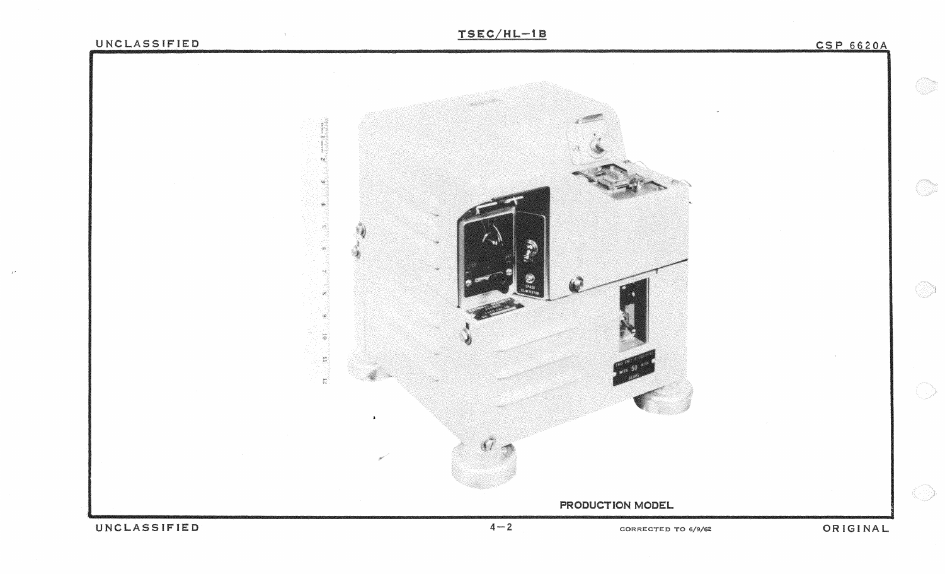## UNCLASSIFIED

CSP 6620A

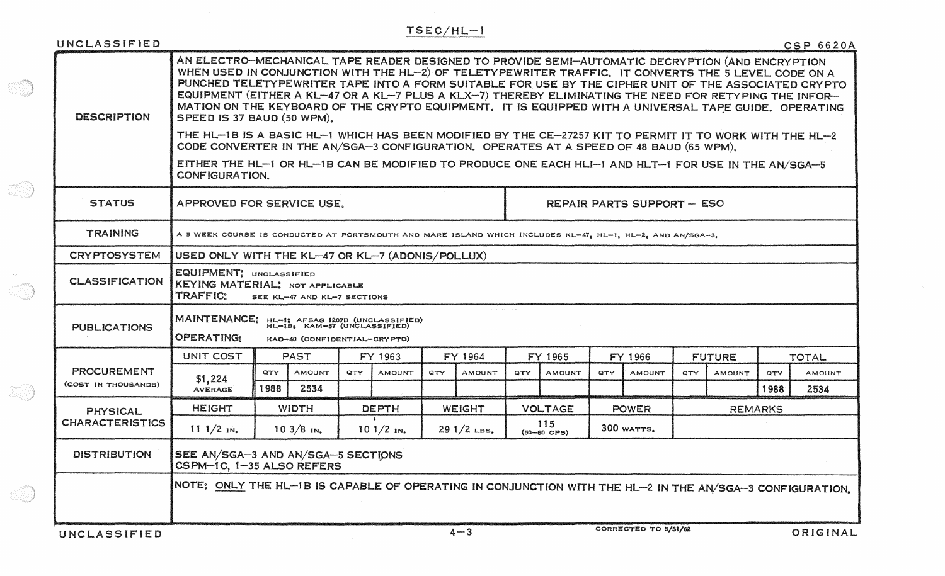| UNCLASSIFIED                                                                           |                                                                                                                                                                                                                                                                                                                                                                                                                                                                                                                                                                                                                                                                                                                                                                                                                                                                                                         |                                                                                                                                                 |               |              |               |               |               |                |                      |              |                      |                |               |              | <b>CSP 6620A</b> |  |
|----------------------------------------------------------------------------------------|---------------------------------------------------------------------------------------------------------------------------------------------------------------------------------------------------------------------------------------------------------------------------------------------------------------------------------------------------------------------------------------------------------------------------------------------------------------------------------------------------------------------------------------------------------------------------------------------------------------------------------------------------------------------------------------------------------------------------------------------------------------------------------------------------------------------------------------------------------------------------------------------------------|-------------------------------------------------------------------------------------------------------------------------------------------------|---------------|--------------|---------------|---------------|---------------|----------------|----------------------|--------------|----------------------|----------------|---------------|--------------|------------------|--|
| <b>DESCRIPTION</b>                                                                     | AN ELECTRO-MECHANICAL TAPE READER DESIGNED TO PROVIDE SEMI-AUTOMATIC DECRYPTION (AND ENCRYPTION<br>WHEN USED IN CONJUNCTION WITH THE HL-2) OF TELETYPEWRITER TRAFFIC. IT CONVERTS THE 5 LEVEL CODE ON A<br>PUNCHED TELETYPEWRITER TAPE INTO A FORM SUITABLE FOR USE BY THE CIPHER UNIT OF THE ASSOCIATED CRYPTO<br>EQUIPMENT (EITHER A KL-47 OR A KL-7 PLUS A KLX-7) THEREBY ELIMINATING THE NEED FOR RETYPING THE INFOR-<br>MATION ON THE KEYBOARD OF THE CRYPTO EQUIPMENT. IT IS EQUIPPED WITH A UNIVERSAL TAPE GUIDE. OPERATING<br>SPEED IS 37 BAUD (50 WPM).<br>THE HL-1B IS A BASIC HL-1 WHICH HAS BEEN MODIFIED BY THE CE-27257 KIT TO PERMIT IT TO WORK WITH THE HL-2<br>CODE CONVERTER IN THE AN/SGA-3 CONFIGURATION, OPERATES AT A SPEED OF 48 BAUD (65 WPM),<br>EITHER THE HL-1 OR HL-1B CAN BE MODIFIED TO PRODUCE ONE EACH HLI-1 AND HLT-1 FOR USE IN THE AN/SGA-5<br><b>CONFIGURATION.</b> |                                                                                                                                                 |               |              |               |               |               |                |                      |              |                      |                |               |              |                  |  |
| <b>STATUS</b>                                                                          | APPROVED FOR SERVICE USE.<br><b>REPAIR PARTS SUPPORT - ESO</b>                                                                                                                                                                                                                                                                                                                                                                                                                                                                                                                                                                                                                                                                                                                                                                                                                                          |                                                                                                                                                 |               |              |               |               |               |                |                      |              |                      |                |               |              |                  |  |
| <b>TRAINING</b>                                                                        | A 5 WEEK COURSE IS CONDUCTED AT PORTSMOUTH AND MARE ISLAND WHICH INCLUDES KL-47, HL-1, HL-2, AND AN/SGA-3.                                                                                                                                                                                                                                                                                                                                                                                                                                                                                                                                                                                                                                                                                                                                                                                              |                                                                                                                                                 |               |              |               |               |               |                |                      |              |                      |                |               |              |                  |  |
| <b>CRYPTOSYSTEM</b>                                                                    | USED ONLY WITH THE KL-47 OR KL-7 (ADONIS/POLLUX)                                                                                                                                                                                                                                                                                                                                                                                                                                                                                                                                                                                                                                                                                                                                                                                                                                                        |                                                                                                                                                 |               |              |               |               |               |                |                      |              |                      |                |               |              |                  |  |
| <b>CLASSIFICATION</b>                                                                  | EQUIPMENT: UNCLASSIFIED<br>KEYING MATERIAL; NOT APPLICABLE<br><b>TRAFFIC:</b><br>SEE KL-47 AND KL-7 SECTIONS                                                                                                                                                                                                                                                                                                                                                                                                                                                                                                                                                                                                                                                                                                                                                                                            |                                                                                                                                                 |               |              |               |               |               |                |                      |              |                      |                |               |              |                  |  |
| <b>PUBLICATIONS</b>                                                                    | <b>OPERATING:</b>                                                                                                                                                                                                                                                                                                                                                                                                                                                                                                                                                                                                                                                                                                                                                                                                                                                                                       | المراجع المقرر القرا<br><b>MAINTENANCE:</b><br>HL-1: AFSAG 1207B (UNCLASSIFIED)<br>HL-1B, KAM-87 (UNCLASSIFIED)<br>KAO-40 (CONFIDENTIAL-CRYPTO) |               |              |               |               |               |                |                      |              |                      |                |               |              |                  |  |
| <b>PROCUREMENT</b><br>(COST IN THOUSANDS)                                              | <b>UNIT COST</b>                                                                                                                                                                                                                                                                                                                                                                                                                                                                                                                                                                                                                                                                                                                                                                                                                                                                                        | <b>PAST</b>                                                                                                                                     |               |              | FY 1963       |               | FY 1964       |                | FY 1965              | FY 1966      |                      | <b>FUTURE</b>  |               | <b>TOTAL</b> |                  |  |
|                                                                                        | \$1,224                                                                                                                                                                                                                                                                                                                                                                                                                                                                                                                                                                                                                                                                                                                                                                                                                                                                                                 | QTY                                                                                                                                             | <b>AMOUNT</b> | QTY          | <b>AMOUNT</b> | QTY.          | <b>AMOUNT</b> | QTY            | <b>AMOUNT</b>        | QTY          | <b>AMOUNT</b>        | QTY            | <b>AMOUNT</b> | QTY          | AMOUNT           |  |
|                                                                                        | <b>AVERAGE</b>                                                                                                                                                                                                                                                                                                                                                                                                                                                                                                                                                                                                                                                                                                                                                                                                                                                                                          | 1988                                                                                                                                            | 2534          |              |               |               |               |                |                      |              |                      |                |               | 1988         | 2534             |  |
| <b>PHYSICAL</b><br><b>CHARACTERISTICS</b>                                              | <b>HEIGHT</b>                                                                                                                                                                                                                                                                                                                                                                                                                                                                                                                                                                                                                                                                                                                                                                                                                                                                                           | <b>WIDTH</b>                                                                                                                                    |               | <b>DEPTH</b> |               | <b>WEIGHT</b> |               | <b>VOLTAGE</b> |                      | <b>POWER</b> |                      | <b>REMARKS</b> |               |              |                  |  |
|                                                                                        | $111/2$ $\text{N}_{\bullet}$                                                                                                                                                                                                                                                                                                                                                                                                                                                                                                                                                                                                                                                                                                                                                                                                                                                                            | $103/8$ in.                                                                                                                                     |               |              | $101/2$ IN.   |               | $291/2$ LBS.  |                | 115<br>$(50-60$ CPS) |              | 300 WATTS.           |                |               |              |                  |  |
| <b>DISTRIBUTION</b><br>SEE AN/SGA-3 AND AN/SGA-5 SECTIONS<br>CSPM-1C, 1-35 ALSO REFERS |                                                                                                                                                                                                                                                                                                                                                                                                                                                                                                                                                                                                                                                                                                                                                                                                                                                                                                         |                                                                                                                                                 |               |              |               |               |               |                |                      |              |                      |                |               |              |                  |  |
|                                                                                        | NOTE: ONLY THE HL-1B IS CAPABLE OF OPERATING IN CONJUNCTION WITH THE HL-2 IN THE AN/SGA-3 CONFIGURATION.                                                                                                                                                                                                                                                                                                                                                                                                                                                                                                                                                                                                                                                                                                                                                                                                |                                                                                                                                                 |               |              |               |               |               |                |                      |              |                      |                |               |              |                  |  |
| UNCLASSIFIED                                                                           |                                                                                                                                                                                                                                                                                                                                                                                                                                                                                                                                                                                                                                                                                                                                                                                                                                                                                                         |                                                                                                                                                 |               |              |               |               | $4 - 3$       |                |                      |              | CORRECTED TO 5/31/62 |                |               |              | ORIGINAL         |  |

 $\sim 200$ 

e de la provincia de la provincia de la provincia de la provincia de la provincia de la provincia de la provincia<br>Del provincia de la provincia de la provincia de la provincia de la provincia de la provincia de la provinci